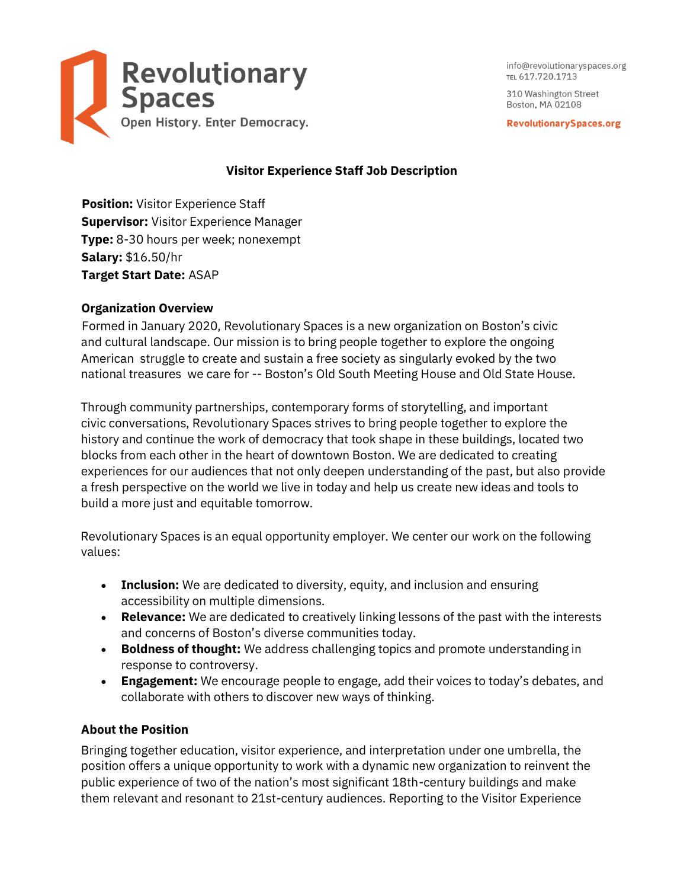

info@revolutionaryspaces.org TEL 617.720.1713

310 Washington Street Boston, MA 02108

**RevolutionarySpaces.org** 

# **Visitor Experience Staff Job Description**

**Position:** Visitor Experience Staff **Supervisor:** Visitor Experience Manager **Type:** 8-30 hours per week; nonexempt **Salary:** \$16.50/hr **Target Start Date:** ASAP

# **Organization Overview**

Formed in January 2020, Revolutionary Spaces is a new organization on Boston's civic and cultural landscape. Our mission is to bring people together to explore the ongoing American struggle to create and sustain a free society as singularly evoked by the two national treasures we care for -- Boston's Old South Meeting House and Old State House.

Through community partnerships, contemporary forms of storytelling, and important civic conversations, Revolutionary Spaces strives to bring people together to explore the history and continue the work of democracy that took shape in these buildings, located two blocks from each other in the heart of downtown Boston. We are dedicated to creating experiences for our audiences that not only deepen understanding of the past, but also provide a fresh perspective on the world we live in today and help us create new ideas and tools to build a more just and equitable tomorrow.

Revolutionary Spaces is an equal opportunity employer. We center our work on the following values:

- **Inclusion:** We are dedicated to diversity, equity, and inclusion and ensuring accessibility on multiple dimensions.
- **Relevance:** We are dedicated to creatively linking lessons of the past with the interests and concerns of Boston's diverse communities today.
- **Boldness of thought:** We address challenging topics and promote understanding in response to controversy.
- **Engagement:** We encourage people to engage, add their voices to today's debates, and collaborate with others to discover new ways of thinking.

# **About the Position**

Bringing together education, visitor experience, and interpretation under one umbrella, the position offers a unique opportunity to work with a dynamic new organization to reinvent the public experience of two of the nation's most significant 18th-century buildings and make them relevant and resonant to 21st-century audiences. Reporting to the Visitor Experience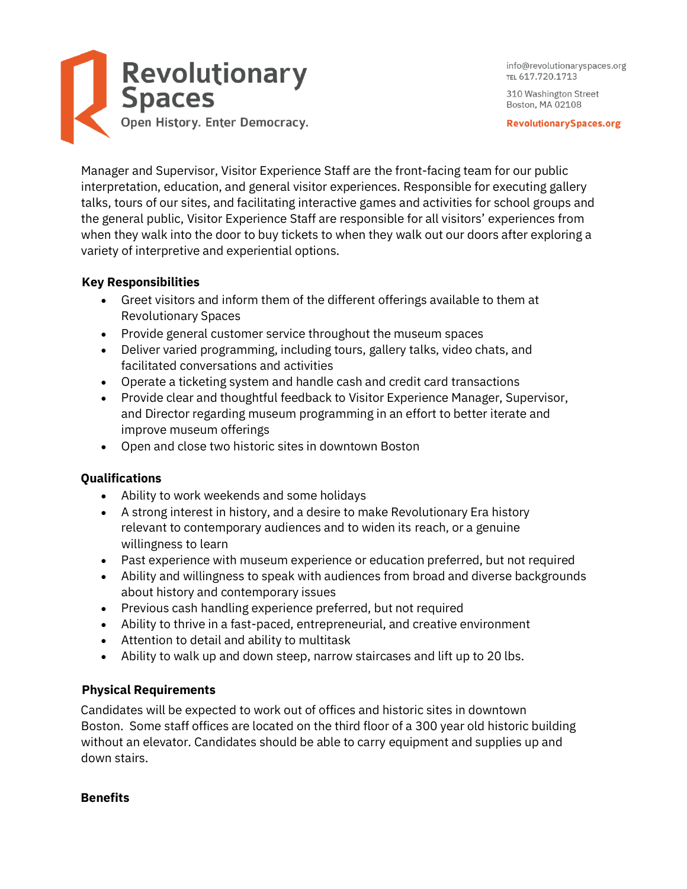

**RevolutionarySpaces.org** 

Manager and Supervisor, Visitor Experience Staff are the front-facing team for our public interpretation, education, and general visitor experiences. Responsible for executing gallery talks, tours of our sites, and facilitating interactive games and activities for school groups and the general public, Visitor Experience Staff are responsible for all visitors' experiences from when they walk into the door to buy tickets to when they walk out our doors after exploring a variety of interpretive and experiential options.

## **Key Responsibilities**

- Greet visitors and inform them of the different offerings available to them at Revolutionary Spaces
- Provide general customer service throughout the museum spaces
- Deliver varied programming, including tours, gallery talks, video chats, and facilitated conversations and activities
- Operate a ticketing system and handle cash and credit card transactions
- Provide clear and thoughtful feedback to Visitor Experience Manager, Supervisor, and Director regarding museum programming in an effort to better iterate and improve museum offerings
- Open and close two historic sites in downtown Boston

## **Qualifications**

- Ability to work weekends and some holidays
- A strong interest in history, and a desire to make Revolutionary Era history relevant to contemporary audiences and to widen its reach, or a genuine willingness to learn
- Past experience with museum experience or education preferred, but not required
- Ability and willingness to speak with audiences from broad and diverse backgrounds about history and contemporary issues
- Previous cash handling experience preferred, but not required
- Ability to thrive in a fast-paced, entrepreneurial, and creative environment
- Attention to detail and ability to multitask
- Ability to walk up and down steep, narrow staircases and lift up to 20 lbs.

## **Physical Requirements**

Candidates will be expected to work out of offices and historic sites in downtown Boston. Some staff offices are located on the third floor of a 300 year old historic building without an elevator. Candidates should be able to carry equipment and supplies up and down stairs.

## **Benefits**